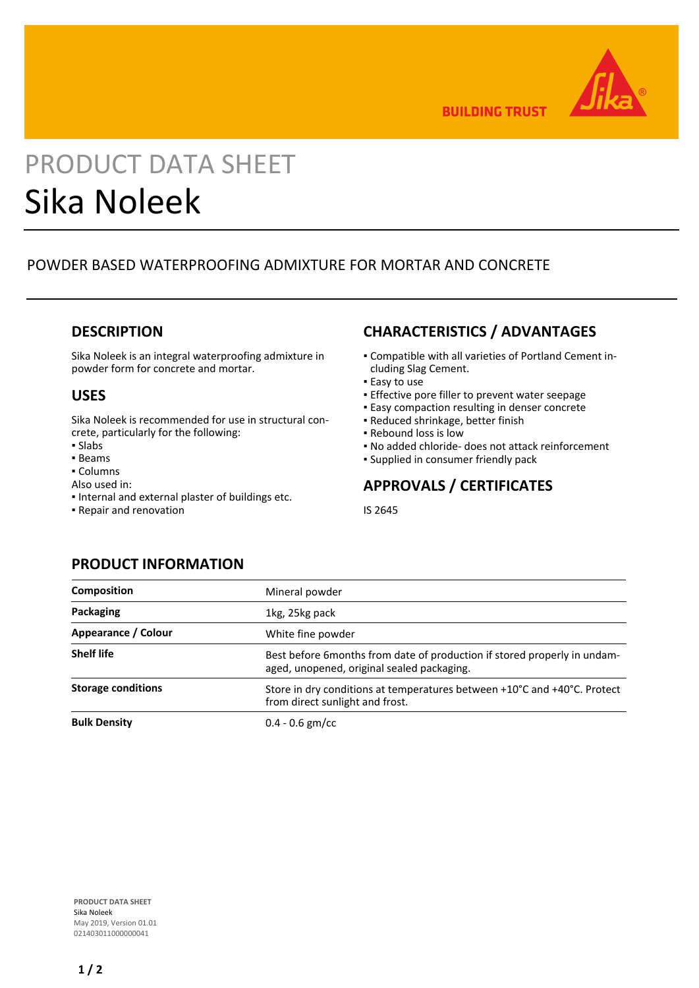

**BUILDING TRUST** 

# PRODUCT DATA SHEET Sika Noleek

# POWDER BASED WATERPROOFING ADMIXTURE FOR MORTAR AND CONCRETE

#### **DESCRIPTION**

Sika Noleek is an integral waterproofing admixture in powder form for concrete and mortar.

## **USES**

Sika Noleek is recommended for use in structural concrete, particularly for the following:

- Slabs
- Beams
- Columns
- Also used in:
- Internal and external plaster of buildings etc.
- Repair and renovation

# **CHARACTERISTICS / ADVANTAGES**

- Compatible with all varieties of Portland Cement in-▪ cluding Slag Cement.
- **Easy to use**
- **Effective pore filler to prevent water seepage**
- **Easy compaction resulting in denser concrete**
- Reduced shrinkage, better finish
- Rebound loss is low
- No added chloride- does not attack reinforcement
- Supplied in consumer friendly pack

# **APPROVALS / CERTIFICATES**

IS 2645

## **PRODUCT INFORMATION**

| <b>Composition</b>        | Mineral powder                                                                                                          |
|---------------------------|-------------------------------------------------------------------------------------------------------------------------|
| Packaging                 | 1kg, 25kg pack                                                                                                          |
| Appearance / Colour       | White fine powder                                                                                                       |
| <b>Shelf life</b>         | Best before 6 months from date of production if stored properly in undam-<br>aged, unopened, original sealed packaging. |
| <b>Storage conditions</b> | Store in dry conditions at temperatures between +10°C and +40°C. Protect<br>from direct sunlight and frost.             |
| <b>Bulk Density</b>       | $0.4 - 0.6$ gm/cc                                                                                                       |